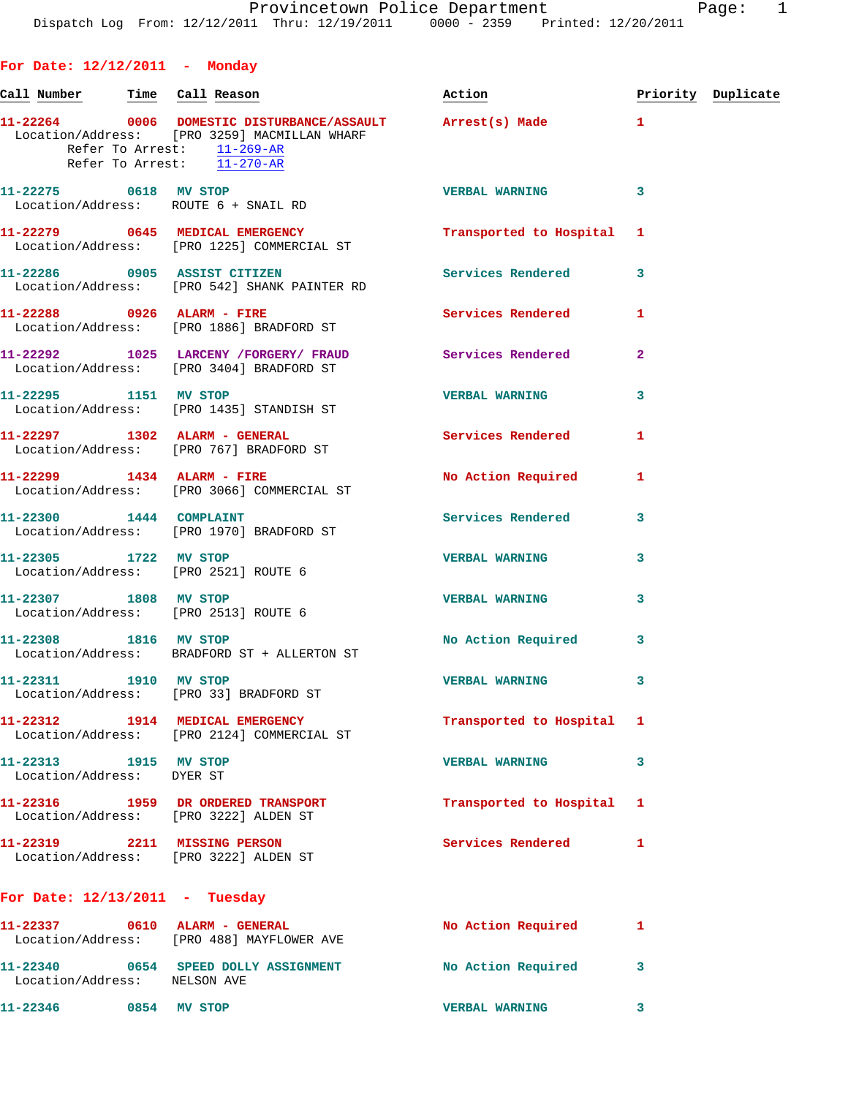**11-22264 0006 DOMESTIC DISTURBANCE/ASSAULT Arrest(s) Made 1** 

Call Number Time Call Reason **Reason Action Action** Priority Duplicate

 Location/Address: [PRO 3259] MACMILLAN WHARF Refer To Arrest: 11-269-AR Refer To Arrest:  $\overline{11-270-AR}$ **11-22275 0618 MV STOP VERBAL WARNING 3**  Location/Address: ROUTE 6 + SNAIL RD **11-22279 0645 MEDICAL EMERGENCY Transported to Hospital 1**  Location/Address: [PRO 1225] COMMERCIAL ST **11-22286 0905 ASSIST CITIZEN Services Rendered 3**  Location/Address: [PRO 542] SHANK PAINTER RD **11-22288 0926 ALARM - FIRE Services Rendered 1**  Location/Address: [PRO 1886] BRADFORD ST **11-22292 1025 LARCENY /FORGERY/ FRAUD Services Rendered 2**  Location/Address: [PRO 3404] BRADFORD ST **11-22295 1151 MV STOP VERBAL WARNING 3**  Location/Address: [PRO 1435] STANDISH ST **11-22297 1302 ALARM - GENERAL Services Rendered 1**  Location/Address: [PRO 767] BRADFORD ST 11-22299 1434 ALARM - FIRE No Action Required 1 Location/Address: [PRO 3066] COMMERCIAL ST **11-22300 1444 COMPLAINT Services Rendered 3**  Location/Address: [PRO 1970] BRADFORD ST **11-22305 1722 MV STOP VERBAL WARNING 3**  Location/Address: [PRO 2521] ROUTE 6 **11-22307 1808 MV STOP VERBAL WARNING 3**  Location/Address: [PRO 2513] ROUTE 6 **11-22308 1816 MV STOP No Action Required 3**  Location/Address: BRADFORD ST + ALLERTON ST **11-22311 1910 MV STOP VERBAL WARNING 3**  Location/Address: [PRO 33] BRADFORD ST **11-22312 1914 MEDICAL EMERGENCY Transported to Hospital 1**  Location/Address: [PRO 2124] COMMERCIAL ST **11-22313 1915 MV STOP VERBAL WARNING 3**  Location/Address: DYER ST **11-22316 1959 DR ORDERED TRANSPORT Transported to Hospital 1** 

 Location/Address: [PRO 3222] ALDEN ST **11-22319 2211 MISSING PERSON Services Rendered 1**  Location/Address: [PRO 3222] ALDEN ST

## **For Date: 12/13/2011 - Tuesday**

**For Date: 12/12/2011 - Monday**

| 11-22337<br>Location/Address: | 0610 | ALARM - GENERAL<br>[PRO 488] MAYFLOWER AVE | No Action Required    |  |
|-------------------------------|------|--------------------------------------------|-----------------------|--|
| 11-22340<br>Location/Address: | 0654 | SPEED DOLLY ASSIGNMENT<br>NELSON AVE       | No Action Required    |  |
| 11-22346                      | 0854 | <b>STOP</b><br>МV                          | <b>VERBAL WARNING</b> |  |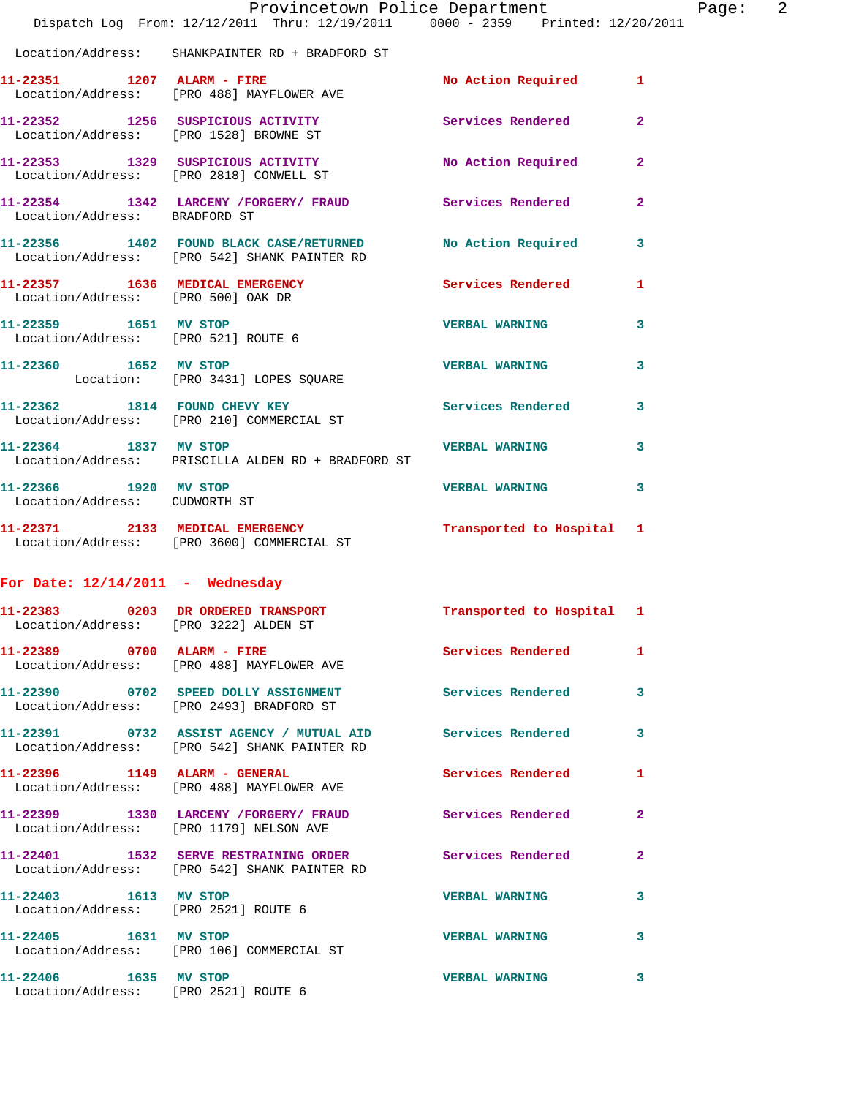|                                                                       | Provincetown Police Department<br>Dispatch Log From: 12/12/2011 Thru: 12/19/2011 0000 - 2359 Printed: 12/20/2011 |                           |                |
|-----------------------------------------------------------------------|------------------------------------------------------------------------------------------------------------------|---------------------------|----------------|
|                                                                       | Location/Address: SHANKPAINTER RD + BRADFORD ST                                                                  |                           |                |
| 11-22351 1207 ALARM - FIRE                                            | Location/Address: [PRO 488] MAYFLOWER AVE                                                                        | No Action Required        | 1              |
|                                                                       | 11-22352 1256 SUSPICIOUS ACTIVITY<br>Location/Address: [PRO 1528] BROWNE ST                                      | Services Rendered         | $\mathbf{2}$   |
|                                                                       | 11-22353 1329 SUSPICIOUS ACTIVITY<br>Location/Address: [PRO 2818] CONWELL ST                                     | No Action Required        | $\mathbf{2}$   |
|                                                                       | 11-22354 1342 LARCENY /FORGERY/ FRAUD Services Rendered Location/Address: BRADFORD ST                            |                           | $\overline{a}$ |
|                                                                       | 11-22356 1402 FOUND BLACK CASE/RETURNED<br>Location/Address: [PRO 542] SHANK PAINTER RD                          | No Action Required        | 3              |
| 11-22357 1636 MEDICAL EMERGENCY<br>Location/Address: [PRO 500] OAK DR |                                                                                                                  | <b>Services Rendered</b>  | 1              |
| 11-22359 1651 MV STOP<br>Location/Address: [PRO 521] ROUTE 6          |                                                                                                                  | <b>VERBAL WARNING</b>     | 3              |
| 11-22360 1652 MV STOP                                                 | Location: [PRO 3431] LOPES SQUARE                                                                                | <b>VERBAL WARNING</b>     | 3              |
|                                                                       | 11-22362 1814 FOUND CHEVY KEY<br>Location/Address: [PRO 210] COMMERCIAL ST                                       | Services Rendered         | 3              |
| 11-22364 1837 MV STOP                                                 | Location/Address: PRISCILLA ALDEN RD + BRADFORD ST                                                               | <b>VERBAL WARNING</b>     | 3              |
| 11-22366 1920 MV STOP<br>Location/Address: CUDWORTH ST                |                                                                                                                  | <b>VERBAL WARNING</b>     | 3              |
|                                                                       | 11-22371 2133 MEDICAL EMERGENCY<br>Location/Address: [PRO 3600] COMMERCIAL ST                                    | Transported to Hospital   | 1              |
| For Date: $12/14/2011$ - Wednesday                                    |                                                                                                                  |                           |                |
| Location/Address: [PRO 3222] ALDEN ST                                 | 11-22383 0203 DR ORDERED TRANSPORT                                                                               | Transported to Hospital 1 |                |
|                                                                       | 11-22389 0700 ALARM - FIRE<br>Location/Address: [PRO 488] MAYFLOWER AVE                                          | Services Rendered         | 1              |
|                                                                       | 11-22390 0702 SPEED DOLLY ASSIGNMENT<br>Location/Address: [PRO 2493] BRADFORD ST                                 | Services Rendered         | 3              |
|                                                                       | 11-22391 0732 ASSIST AGENCY / MUTUAL AID Services Rendered<br>Location/Address: [PRO 542] SHANK PAINTER RD       |                           | 3              |
|                                                                       | 11-22396 1149 ALARM - GENERAL<br>Location/Address: [PRO 488] MAYFLOWER AVE                                       | <b>Services Rendered</b>  | 1              |
|                                                                       | 11-22399 1330 LARCENY /FORGERY/ FRAUD Services Rendered<br>Location/Address: [PRO 1179] NELSON AVE               |                           | $\mathbf{2}$   |
|                                                                       | 11-22401 1532 SERVE RESTRAINING ORDER Services Rendered<br>Location/Address: [PRO 542] SHANK PAINTER RD          |                           | $\mathbf{2}$   |
| 11-22403 1613 MV STOP                                                 | Location/Address: [PRO 2521] ROUTE 6                                                                             | <b>VERBAL WARNING</b>     | 3              |
| 11-22405 1631 MV STOP                                                 | Location/Address: [PRO 106] COMMERCIAL ST                                                                        | <b>VERBAL WARNING</b>     | 3              |
| 11-22406 1635 MV STOP                                                 | Location/Address: [PRO 2521] ROUTE 6                                                                             | <b>VERBAL WARNING</b>     | 3              |

Page: 2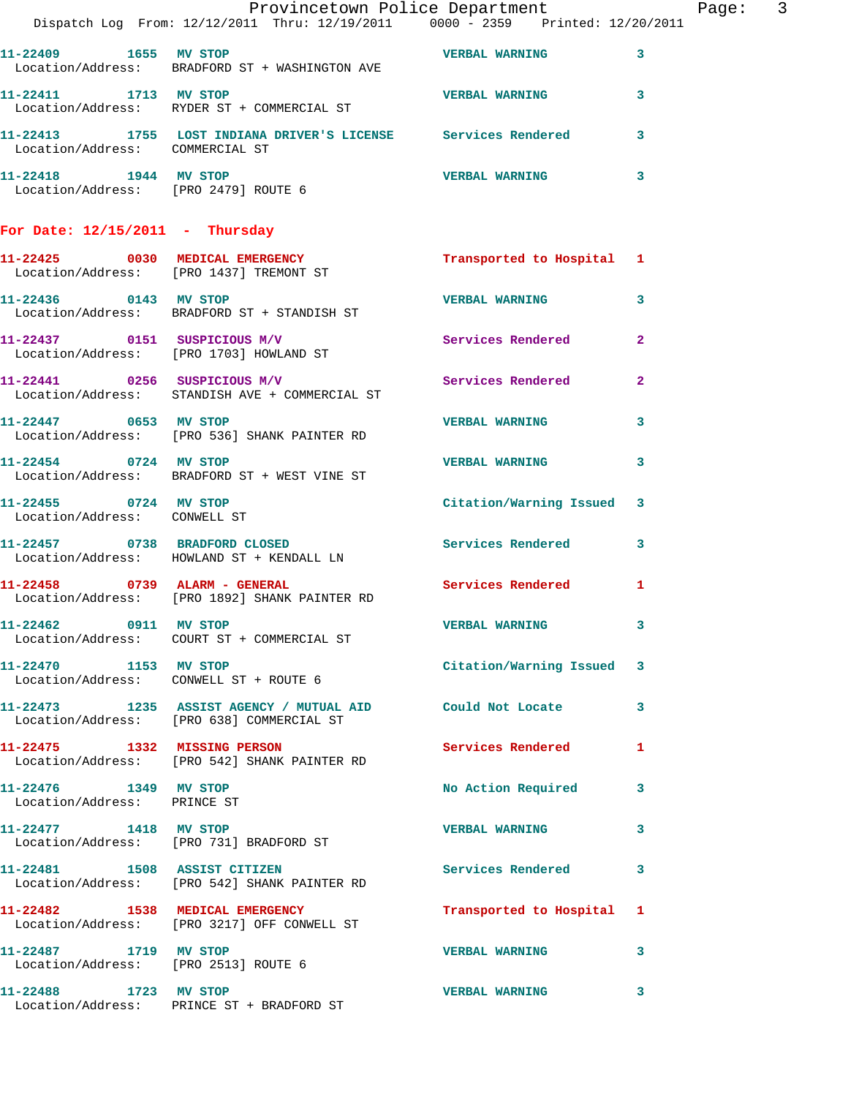|                                                       | Dispatch Log From: 12/12/2011 Thru: 12/19/2011 0000 - 2359 Printed: 12/20/2011                           | Provincetown Police Department |              | Page: 3 |  |
|-------------------------------------------------------|----------------------------------------------------------------------------------------------------------|--------------------------------|--------------|---------|--|
|                                                       | 11-22409 1655 MV STOP 16 CONTROL TO THE VERBAL WARNING<br>Location/Address: BRADFORD ST + WASHINGTON AVE |                                | $\mathbf{3}$ |         |  |
| 11-22411 1713 MV STOP                                 | Location/Address: RYDER ST + COMMERCIAL ST                                                               | <b>VERBAL WARNING</b> 3        |              |         |  |
|                                                       | 11-22413 1755 LOST INDIANA DRIVER'S LICENSE Services Rendered 3<br>Location/Address: COMMERCIAL ST       |                                |              |         |  |
|                                                       | 11-22418 1944 MV STOP<br>Location/Address: [PRO 2479] ROUTE 6                                            | <b>VERBAL WARNING</b>          | $\mathbf{3}$ |         |  |
| For Date: $12/15/2011$ - Thursday                     |                                                                                                          |                                |              |         |  |
|                                                       | 11-22425 0030 MEDICAL EMERGENCY<br>Location/Address: [PRO 1437] TREMONT ST                               | Transported to Hospital 1      |              |         |  |
| 11-22436 0143 MV STOP                                 | Location/Address: BRADFORD ST + STANDISH ST                                                              | <b>VERBAL WARNING</b>          | $\mathbf{3}$ |         |  |
|                                                       | 11-22437 0151 SUSPICIOUS M/V<br>Location/Address: [PRO 1703] HOWLAND ST                                  | Services Rendered 2            |              |         |  |
|                                                       | 11-22441 0256 SUSPICIOUS M/V<br>Location/Address: STANDISH AVE + COMMERCIAL ST                           | Services Rendered 2            |              |         |  |
|                                                       | 11-22447 0653 MV STOP<br>Location/Address: [PRO 536] SHANK PAINTER RD                                    | <b>VERBAL WARNING</b>          | 3            |         |  |
| 11-22454 0724 MV STOP                                 | Location/Address: BRADFORD ST + WEST VINE ST                                                             | <b>VERBAL WARNING 3</b>        |              |         |  |
| 11-22455 0724 MV STOP<br>Location/Address: CONWELL ST |                                                                                                          | Citation/Warning Issued 3      |              |         |  |
|                                                       | 11-22457 0738 BRADFORD CLOSED<br>Location/Address: HOWLAND ST + KENDALL LN                               | Services Rendered 3            |              |         |  |
|                                                       | 11-22458 0739 ALARM - GENERAL<br>Location/Address: [PRO 1892] SHANK PAINTER RD                           | Services Rendered 1            |              |         |  |
| 11-22462 0911 MV STOP                                 | Location/Address: COURT ST + COMMERCIAL ST                                                               | VERBAL WARNING 3               |              |         |  |
| 11-22470 1153 MV STOP                                 | Location/Address: CONWELL ST + ROUTE 6                                                                   | Citation/Warning Issued 3      |              |         |  |
|                                                       | 11-22473 1235 ASSIST AGENCY / MUTUAL AID Could Not Locate 3<br>Location/Address: [PRO 638] COMMERCIAL ST |                                |              |         |  |
|                                                       | 11-22475 1332 MISSING PERSON<br>Location/Address: [PRO 542] SHANK PAINTER RD                             | Services Rendered 1            |              |         |  |
| 11-22476 1349 MV STOP<br>Location/Address: PRINCE ST  |                                                                                                          | No Action Required 3           |              |         |  |
|                                                       | 11-22477 1418 MV STOP<br>Location/Address: [PRO 731] BRADFORD ST                                         | <b>VERBAL WARNING</b>          | $\mathbf{3}$ |         |  |
|                                                       | 11-22481 1508 ASSIST CITIZEN<br>Location/Address: [PRO 542] SHANK PAINTER RD                             | Services Rendered 3            |              |         |  |
|                                                       | 11-22482 1538 MEDICAL EMERGENCY<br>Location/Address: [PRO 3217] OFF CONWELL ST                           | Transported to Hospital 1      |              |         |  |
| 11-22487 1719 MV STOP                                 | Location/Address: [PRO 2513] ROUTE 6                                                                     | VERBAL WARNING 3               |              |         |  |
|                                                       | 11-22488 1723 MV STOP<br>Location/Address: PRINCE ST + BRADFORD ST                                       | <b>VERBAL WARNING</b>          | 3            |         |  |
|                                                       |                                                                                                          |                                |              |         |  |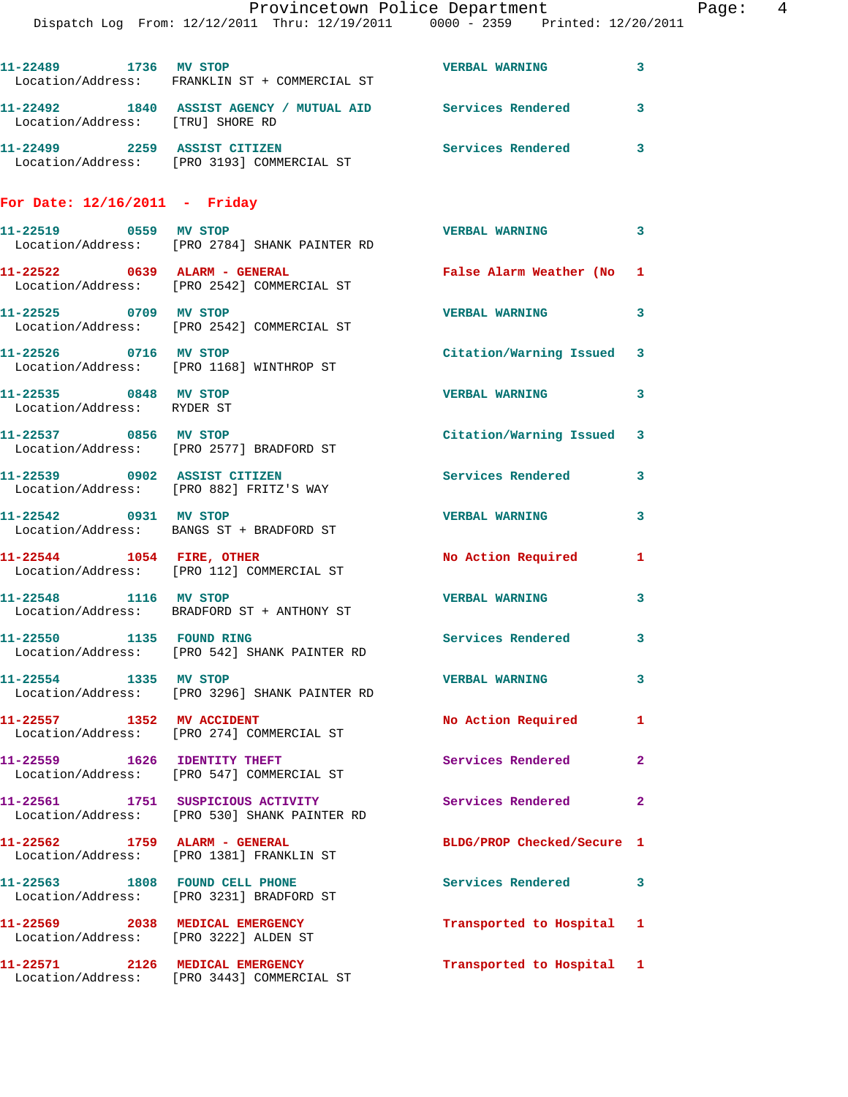|                                                                          | Provincetown Police Department                                                                                |                            | Page: 4      |
|--------------------------------------------------------------------------|---------------------------------------------------------------------------------------------------------------|----------------------------|--------------|
|                                                                          | Dispatch Log From: 12/12/2011 Thru: 12/19/2011 0000 - 2359 Printed: 12/20/2011                                |                            |              |
|                                                                          | 11-22489 1736 MV STOP<br>Location/Address: FRANKLIN ST + COMMERCIAL ST                                        | <b>VERBAL WARNING</b>      | 3            |
| Location/Address: [TRU] SHORE RD                                         | 11-22492 1840 ASSIST AGENCY / MUTUAL AID Services Rendered                                                    |                            | 3            |
|                                                                          | 11-22499 2259 ASSIST CITIZEN<br>Location/Address: [PRO 3193] COMMERCIAL ST                                    | Services Rendered 3        |              |
| For Date: $12/16/2011$ - Friday                                          |                                                                                                               |                            |              |
| 11-22519 0559 MV STOP                                                    | Location/Address: [PRO 2784] SHANK PAINTER RD                                                                 | VERBAL WARNING 3           |              |
|                                                                          | 11-22522 0639 ALARM - GENERAL <b>False Alarm Weather (No. 1</b><br>Location/Address: [PRO 2542] COMMERCIAL ST |                            |              |
| 11-22525 0709 MV STOP                                                    | Location/Address: [PRO 2542] COMMERCIAL ST                                                                    | <b>VERBAL WARNING</b>      | 3            |
|                                                                          | 11-22526 0716 MV STOP<br>Location/Address: [PRO 1168] WINTHROP ST                                             | Citation/Warning Issued 3  |              |
| 11-22535 0848 MV STOP<br>Location/Address: RYDER ST                      |                                                                                                               | <b>VERBAL WARNING</b>      | $\mathbf{3}$ |
|                                                                          | 11-22537 0856 MV STOP<br>Location/Address: [PRO 2577] BRADFORD ST                                             | Citation/Warning Issued 3  |              |
|                                                                          | 11-22539 0902 ASSIST CITIZEN<br>Location/Address: [PRO 882] FRITZ'S WAY                                       | Services Rendered          | 3            |
|                                                                          | 11-22542 0931 MV STOP<br>Location/Address: BANGS ST + BRADFORD ST                                             | <b>VERBAL WARNING</b>      | 3            |
|                                                                          | $11-22544$ 1054 FIRE, OTHER<br>Location/Address: [PRO 112] COMMERCIAL ST                                      | No Action Required         | $\mathbf{1}$ |
|                                                                          | 11-22548 1116 MV STOP<br>Location/Address: BRADFORD ST + ANTHONY ST                                           | <b>VERBAL WARNING</b>      | 3            |
| 11-22550 1135 FOUND RING                                                 | Location/Address: [PRO 542] SHANK PAINTER RD                                                                  | Services Rendered 3        |              |
| 11-22554 1335 MV STOP                                                    | Location/Address: [PRO 3296] SHANK PAINTER RD                                                                 | <b>VERBAL WARNING</b>      | 3            |
| 11-22557 1352 MV ACCIDENT                                                | Location/Address: [PRO 274] COMMERCIAL ST                                                                     | No Action Required 1       |              |
|                                                                          | 11-22559 1626 IDENTITY THEFT<br>Location/Address: [PRO 547] COMMERCIAL ST                                     | Services Rendered          | $\mathbf{2}$ |
|                                                                          | 11-22561 1751 SUSPICIOUS ACTIVITY 1991 Services Rendered<br>Location/Address: [PRO 530] SHANK PAINTER RD      |                            | $\mathbf{2}$ |
|                                                                          | $11-22562$ 1759 ALARM - GENERAL<br>Location/Address: [PRO 1381] FRANKLIN ST                                   | BLDG/PROP Checked/Secure 1 |              |
|                                                                          | 11-22563 1808 FOUND CELL PHONE<br>Location/Address: [PRO 3231] BRADFORD ST                                    | Services Rendered 3        |              |
| 11-22569 2038 MEDICAL EMERGENCY<br>Location/Address: [PRO 3222] ALDEN ST |                                                                                                               | Transported to Hospital 1  |              |
|                                                                          | 11-22571 2126 MEDICAL EMERGENCY<br>Location/Address: [PRO 3443] COMMERCIAL ST                                 | Transported to Hospital 1  |              |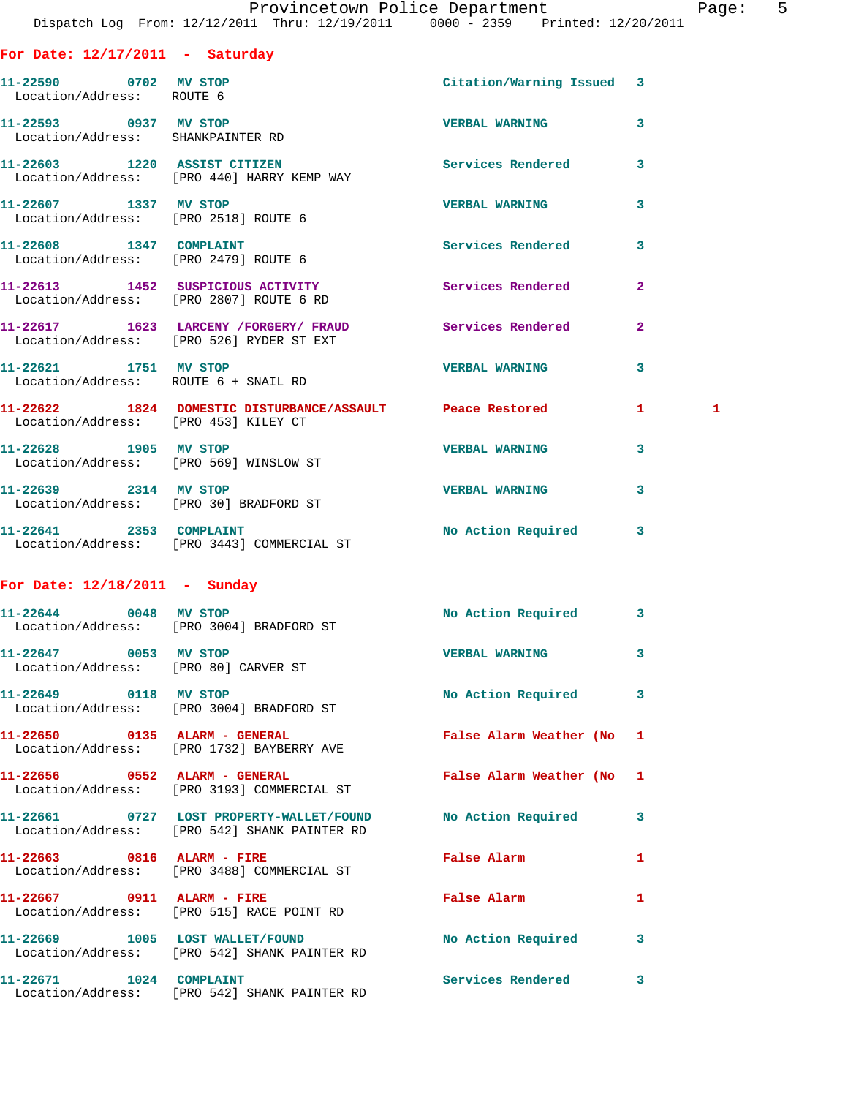| For Date: $12/17/2011$ - Saturday                               |                                                                                     |                           |                         |              |
|-----------------------------------------------------------------|-------------------------------------------------------------------------------------|---------------------------|-------------------------|--------------|
| 11-22590 0702 MV STOP<br>Location/Address: ROUTE 6              |                                                                                     | Citation/Warning Issued 3 |                         |              |
| 11-22593 0937 MV STOP<br>Location/Address: SHANKPAINTER RD      |                                                                                     | <b>VERBAL WARNING</b>     | $\overline{\mathbf{3}}$ |              |
|                                                                 | 11-22603 1220 ASSIST CITIZEN<br>Location/Address: [PRO 440] HARRY KEMP WAY          | Services Rendered         | $\overline{\mathbf{3}}$ |              |
| 11-22607 1337 MV STOP<br>Location/Address: [PRO 2518] ROUTE 6   |                                                                                     | <b>VERBAL WARNING</b>     | $\overline{\mathbf{3}}$ |              |
| 11-22608 1347 COMPLAINT<br>Location/Address: [PRO 2479] ROUTE 6 |                                                                                     | <b>Services Rendered</b>  | 3                       |              |
|                                                                 | 11-22613 1452 SUSPICIOUS ACTIVITY<br>Location/Address: [PRO 2807] ROUTE 6 RD        | Services Rendered         | $\overline{2}$          |              |
|                                                                 | 11-22617 1623 LARCENY / FORGERY / FRAUD<br>Location/Address: [PRO 526] RYDER ST EXT | <b>Services Rendered</b>  | $\overline{2}$          |              |
| 11-22621 1751 MV STOP                                           | Location/Address: ROUTE 6 + SNAIL RD                                                | <b>VERBAL WARNING</b>     | 3                       |              |
| Location/Address: [PRO 453] KILEY CT                            | 11-22622 1824 DOMESTIC DISTURBANCE/ASSAULT Peace Restored                           |                           | 1.                      | $\mathbf{1}$ |
| 11-22628 1905 MV STOP                                           | Location/Address: [PRO 569] WINSLOW ST                                              | <b>VERBAL WARNING</b>     | 3                       |              |
| 11-22639 2314 MV STOP                                           | Location/Address: [PRO 30] BRADFORD ST                                              | <b>VERBAL WARNING</b>     | 3                       |              |
|                                                                 | 11-22641 2353 COMPLAINT<br>Location/Address: [PRO 3443] COMMERCIAL ST               | No Action Required        | 3                       |              |

## **For Date: 12/18/2011 - Sunday**

| 11-22644 0048 MV STOP                                         | Location/Address: [PRO 3004] BRADFORD ST                                                                               | No Action Required        | $\overline{\mathbf{3}}$ |
|---------------------------------------------------------------|------------------------------------------------------------------------------------------------------------------------|---------------------------|-------------------------|
| 11-22647 0053 MV STOP<br>Location/Address: [PRO 80] CARVER ST |                                                                                                                        | <b>VERBAL WARNING</b>     | $\overline{\mathbf{3}}$ |
| 11-22649 0118 MV STOP                                         | Location/Address: [PRO 3004] BRADFORD ST                                                                               | No Action Required        | $\overline{\mathbf{3}}$ |
| 11-22650 0135 ALARM - GENERAL                                 | Location/Address: [PRO 1732] BAYBERRY AVE                                                                              | False Alarm Weather (No 1 |                         |
|                                                               | Location/Address: [PRO 3193] COMMERCIAL ST                                                                             | False Alarm Weather (No 1 |                         |
|                                                               | 11-22661      0727  LOST PROPERTY-WALLET/FOUND      No Action Required<br>Location/Address: [PRO 542] SHANK PAINTER RD |                           | $\mathbf{3}$            |
| 11-22663 0816 ALARM - FIRE                                    | Location/Address: [PRO 3488] COMMERCIAL ST                                                                             | False Alarm               | $\mathbf{1}$            |
| 11-22667 0911 ALARM - FIRE                                    | Location/Address: [PRO 515] RACE POINT RD                                                                              | False Alarm               | $\mathbf{1}$            |
|                                                               | 11-22669 1005 LOST WALLET/FOUND<br>Location/Address: [PRO 542] SHANK PAINTER RD                                        | No Action Required        | $\overline{\mathbf{3}}$ |
| 11-22671 1024 COMPLAINT                                       | Location/Address: [PRO 542] SHANK PAINTER RD                                                                           | <b>Services Rendered</b>  | $\mathbf{3}$            |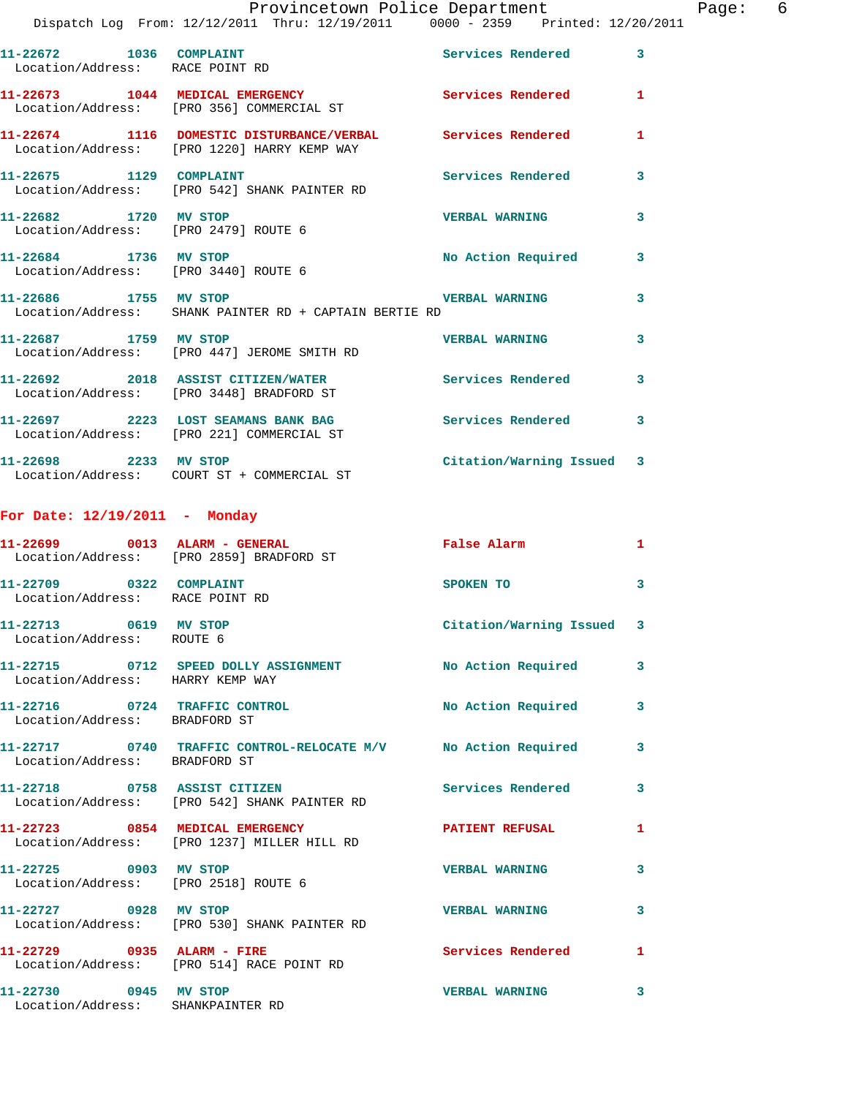|                                                               | Provincetown Police Department<br>Dispatch Log From: 12/12/2011 Thru: 12/19/2011 0000 - 2359 Printed: 12/20/2011 |                           |              | Page: 6 |  |
|---------------------------------------------------------------|------------------------------------------------------------------------------------------------------------------|---------------------------|--------------|---------|--|
| Location/Address: RACE POINT RD                               | 11-22672 1036 COMPLAINT                                                                                          | Services Rendered         | 3            |         |  |
|                                                               | 11-22673 1044 MEDICAL EMERGENCY Services Rendered<br>Location/Address: [PRO 356] COMMERCIAL ST                   |                           | $\mathbf{1}$ |         |  |
|                                                               | 11-22674 1116 DOMESTIC DISTURBANCE/VERBAL Services Rendered 1<br>Location/Address: [PRO 1220] HARRY KEMP WAY     |                           |              |         |  |
|                                                               | 11-22675 1129 COMPLAINT<br>Location/Address: [PRO 542] SHANK PAINTER RD                                          | Services Rendered         | 3            |         |  |
|                                                               | 11-22682 1720 MV STOP<br>Location/Address: [PRO 2479] ROUTE 6                                                    | VERBAL WARNING            | 3            |         |  |
| 11-22684 1736 MV STOP<br>Location/Address: [PRO 3440] ROUTE 6 |                                                                                                                  | No Action Required 3      |              |         |  |
| 11-22686 1755 MV STOP                                         | Location/Address: SHANK PAINTER RD + CAPTAIN BERTIE RD                                                           | <b>VERBAL WARNING</b>     | 3            |         |  |
|                                                               | 11-22687             1759    MV STOP<br>Location/Address:     [PRO 447] JEROME SMITH RD                          | <b>VERBAL WARNING</b>     | 3            |         |  |
|                                                               | 11-22692 2018 ASSIST CITIZEN/WATER Services Rendered<br>Location/Address: [PRO 3448] BRADFORD ST                 |                           | 3            |         |  |
|                                                               | 11-22697 2223 LOST SEAMANS BANK BAG<br>Location/Address: [PRO 221] COMMERCIAL ST                                 | Services Rendered         | 3            |         |  |
|                                                               | 11-22698 2233 MV STOP<br>Location/Address: COURT ST + COMMERCIAL ST                                              | Citation/Warning Issued 3 |              |         |  |
| For Date: $12/19/2011$ - Monday                               |                                                                                                                  |                           |              |         |  |
|                                                               | 11-22699 0013 ALARM - GENERAL<br>Location/Address: [PRO 2859] BRADFORD ST                                        | False Alarm               | 1.           |         |  |
| 11-22709 0322 COMPLAINT                                       |                                                                                                                  | SPOKEN TO                 | 3            |         |  |

| 11-22713 0619 MV STOP<br>Location/Address: ROUTE 6             |                                                                                | Citation/Warning Issued 3 |              |
|----------------------------------------------------------------|--------------------------------------------------------------------------------|---------------------------|--------------|
| Location/Address: HARRY KEMP WAY                               | 11-22715 0712 SPEED DOLLY ASSIGNMENT No Action Required                        |                           | $\mathbf{3}$ |
| 11-22716 0724 TRAFFIC CONTROL<br>Location/Address: BRADFORD ST |                                                                                | No Action Required        | $\mathbf{3}$ |
| Location/Address: BRADFORD ST                                  | 11-22717 0740 TRAFFIC CONTROL-RELOCATE M/V No Action Required                  |                           | 3            |
|                                                                | 11-22718 0758 ASSIST CITIZEN<br>Location/Address: [PRO 542] SHANK PAINTER RD   | <b>Services Rendered</b>  | $\mathbf{3}$ |
|                                                                | 11-22723 0854 MEDICAL EMERGENCY<br>Location/Address: [PRO 1237] MILLER HILL RD | <b>PATIENT REFUSAL</b>    | $\mathbf{1}$ |
| 11-22725 0903 MV STOP<br>Location/Address: [PRO 2518] ROUTE 6  |                                                                                | <b>VERBAL WARNING</b>     | $\mathbf{3}$ |
| 11-22727 0928 MV STOP                                          | Location/Address: [PRO 530] SHANK PAINTER RD                                   | <b>VERBAL WARNING</b>     | 3            |
| 11-22729 0935 ALARM - FIRE                                     | Location/Address: [PRO 514] RACE POINT RD                                      | <b>Services Rendered</b>  | $\mathbf{1}$ |
| 11-22730 0945 MV STOP<br>Location/Address: SHANKPAINTER RD     |                                                                                | <b>VERBAL WARNING</b>     | 3            |

Location/Address: RACE POINT RD